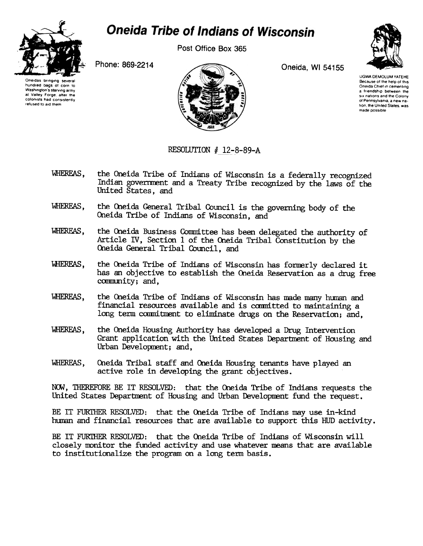

## **Oneida Tribe of Indians of Wisconsin**

Post Office Box 365

Phone: 869-2214

Oneidas bringing several hundred bags of corn to Washington's starving army at Valley Forge, after the colonists had consistently refused to aid them



Oneida, WI 54155



**UGWA DEMOLUM YATEHE** Because of the help of this<br>Oneida Chief in cementing a friendship between the six nations and the Colony of Pennsylvania, a new nation, the United States, was made possible

## RESOLUTION # 12-8-89-A

- WHEREAS. the Oneida Tribe of Indians of Wisconsin is a federally recognized Indian government and a Treaty Tribe recognized by the laws of the United States, and
- the Oneida General Tribal Council is the governing body of the WHEREAS. Oneida Tribe of Indians of Wisconsin, and
- WHEREAS. the Oneida Business Committee has been delegated the authority of Article IV, Section 1 of the Oneida Tribal Constitution by the Oneida General Tribal Council, and
- WHEREAS. the Oneida Tribe of Indians of Wisconsin has formerly declared it has an objective to establish the Oneida Reservation as a drug free community; and,
- WHEREAS, the Oneida Tribe of Indians of Wisconsin has made many human and financial resources available and is committed to maintaining a long term commitment to eliminate drugs on the Reservation; and,
- WHEREAS. the Oneida Housing Authority has developed a Drug Intervention Grant application with the United States Department of Housing and Urban Development; and,
- WHEREAS. Oneida Tribal staff and Oneida Housing tenants have played an active role in developing the grant objectives.

NOW, THEREFORE BE IT RESOLVED: that the Oneida Tribe of Indians requests the United States Department of Housing and Urban Development fund the request.

BE IT FURTHER RESOLVED: that the Oneida Tribe of Indians may use in-kind human and financial resources that are available to support this HUD activity.

BE IT FURTHER RESOLVED: that the Oneida Tribe of Indians of Wisconsin will closely monitor the funded activity and use whatever means that are available to institutionalize the program on a long term basis.